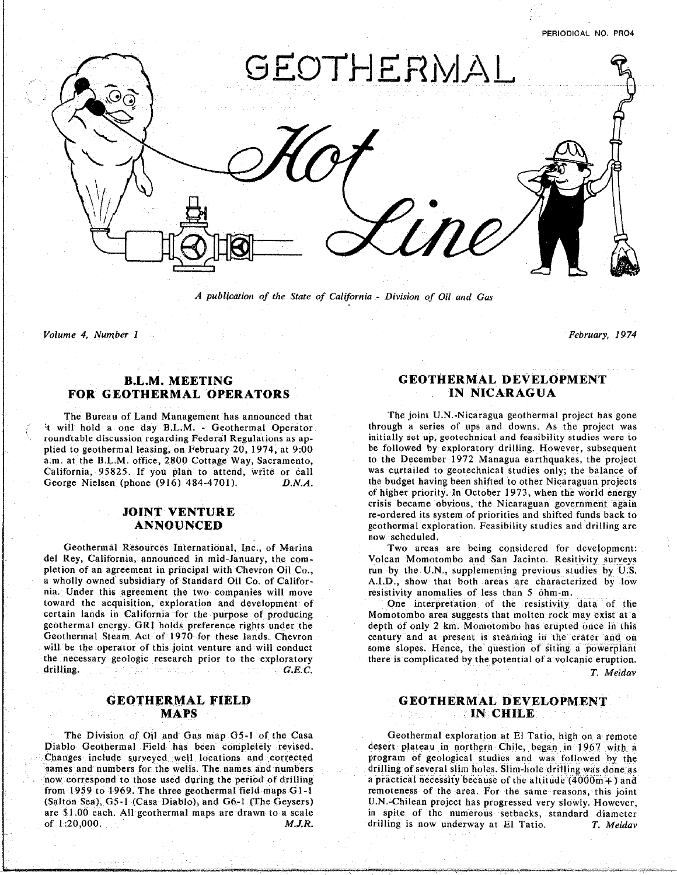

*A publication of the State of California* **-** *Division of Oil and Ga*s

*Volume 4*. *Number 1 February, 19***7***4*

## **FO**R **GEOTHERMAL OPERATORS IN NICARAGUA**

roundtable discussion regarding Federal Regulations as ap-<br>initially set up, geotechnical and feasibility studies were to plied to geothermal leasing, on February 20, 1974, at 9:00 be followed by exploratory drilling. However, subsequent a.m. at the B.L.M. office, 2800 Cottage Way, Sacramento, to the December 1972 Managua earthquakes, the project a.**m**, at the **B**.**L.**M office, 2800 Cott**a**g**e** Wa**y,** Sacrame**n**to, to **t**he December 1972 **M**anagu**a** earthq**u**a**k**e**s**, **t**he **p**rojec**t** George Nielsen (phone (916) 484-4701). D.N.A. the budget having been shifted to other Nicaraguan projects

pletion of an agreement in principal with Chevron Oil Co., Tun by the U.N., supplementing previous studies by U.S. a wholly owned subsidiary of Standard Oil Co. of Califor-<br>A.I.D., show that both areas are characterized by low nia. Under this agreement the two companies will move resistivity anomalies of less than 5 ohm-m. toward the acquisition, exploration and development of The Cone interpretation of the resistivity data of the certain lands in California for the purpose of producing Momotombo area suggests that molten rock may exist at a geothermal energy. GRI holds preference rights under the depth of only 2 km. Momotombo has erupted once in this Geothermal Steam Act of 1970 for these lands. Chevron century and at present is steaming in the crater and on will be the operator of this joint venture and will conduct some slopes. Hence, the question of siting a powerplant the necessary geologic research prior to the exploratory there is complicated by the potential of a volcanic eruption. the neces**s**ary geologic research prior to the exp**l**oratory there **is** compl**i**cated by the potential of a volcan**i**c eruption.

The **Div**i**si**o**n** of Oil **an**d G**as** map G5**-**1 o**f** the *C*a**s**a Geo**t**hermal exploration **at** El Tatio, h**i**gh on **a** remote Changes include surveyed well locations and corrected program of geological studies and was followed by the names and numbers for the wells. The names and numbers drilling of several slim holes. Slim-hole drilling was done as now correspond to those used during the period of drilling a practical necessity because of the altitude (4000m+) and from 1959 to 1969. The three geothermal field maps G1-1 remoteness of the area. For the same reasons, this joint (Salton Sea), G5-1 (Casa Diablo), and G6-1 (The Geysers) U.N.-Chilean project has progressed very slowly. However, are \$1.00 each. All geothermal maps are drawn to a scale in spite of the numerous setbacks, standard diameter of 1.20,000. **The action of the numerous set of the numerous set of the numerous set of the numerous set of the numerous settlement of the numerous settlement of the numerous settlement of the numerous settlement of the nu** of 1**:**20,000. *M*.*J***.***R.* drilling i**s** now underway at E1 Tatio**.** *T*. *Meidav*

## **BELLEVILLE CONTRACT COMMUNICATION**

The Bureau of Land Management has announced that The joint U.N.-Nicaragua geothermal project has gone<br>
It will hold a one day B.L.M. - Geothermal Operator through a series of ups and downs. As the project was of higher priority. In October 1973, when the world energy crisis became obvious, the Nicaraguan government again re-ordered its system of priorities and shifted funds back to JOIN**T** V**ENT**U**RE** re**-or**dere**d** its sy**s**tem of priorit**i**e**s** and **s**h**i**fted f**und**s back t**o** ANNO**U**N**CED** geo**t**her**m**a**l** ex**p**lor**a**tion Fe**asi**b**i**l**i**ty **s**t**udi**es a**nd d**r**i**ll**i**ng are **now scheduled.**<br>Two areas are being considered for development.

Geothermal Resources International, Inc., of Marina Two areas are being considered for development:<br>del Rey, California, announced in mid-January, the com-<br>Volcan Momotombo and San Jacinto. Resitivity surveys

dr**i**lling. *G***.***E*.*C*. *T*. *Meidav*

## **GEOTHERMAL FIELD GEOTHERMAL DEVELOPMENT MAPS IN CHILE**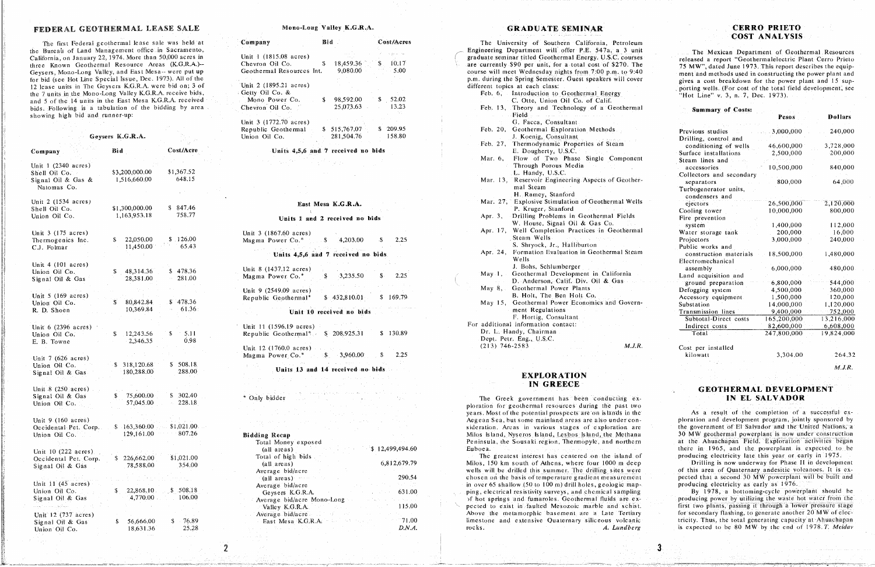## FEDERAL GEOTHERMAL LEASE SALE

The first Federal geothermal lease sale was held at the Bureau of Land Management office in Sacramento. California, on January 22, 1974. More than 50,000 acres in three Known Geothermal Resource Areas (K.G.R.A.)--Geysers, Mono-Long Valley, and East Mesa-- were put up for bid (see Hot Line Special Issue, Dec. 1973). All of the 12 lease units in The Geysers K.G.R.A. were bid on; 3 of the 7 units in the Mono-Long Valley K.G.R.A. receive bids, and 5 of the 14 units in the East Mesa K.G.R.A. received bids. Following is a tabulation of the bidding by area showing high bid and runner-up:

| Geysers K.G.R.A.                                                             |                                |                                           |  |
|------------------------------------------------------------------------------|--------------------------------|-------------------------------------------|--|
| Company                                                                      | Bid                            | Cost/Acre                                 |  |
| Unit 1 (2340 acres)<br>Shell Oil Co.<br>Signal Oil & Gas &<br>Natomas Co.    | \$3,200,000.00<br>1,516,660.00 | \$1,367.52<br>648.15                      |  |
| Unit 2 (1534 acres)<br>Shell Oil Co.<br>Union Oil Co.                        | \$1,300,000.00<br>1,163,953.18 | \$847.46<br>758.77                        |  |
| Unit 3 (175 acres)<br>Thermogenics Inc.<br>C.J. Folmar                       | 22,050.00<br>\$<br>11,450.00   | \$126.00<br>65.43                         |  |
| Unit $4(101 \text{ acres})$<br>Union Oil Co.<br>Signal Oil & Gas             | \$<br>48,314.36<br>28,381.00   | \$478.36<br>281.00                        |  |
| Unit $5(169 \text{ acres})$<br>Union Oil Co.<br>R. D. Shoen                  | \$<br>80,842.84<br>10,369.84   | \$478.36<br>61.36:                        |  |
| Unit 6 (2396 acres)<br>Union Oil Co.<br>E. B. Towne                          | \$<br>12,243.56<br>2,346.35    | \$<br>5.11<br>0.98                        |  |
| Unit 7 (626 acres)<br>Union Oil Co.<br>Signal Oil & Gas                      | 318,120.68<br>\$<br>180,288.00 | \$508.18<br>288.00                        |  |
| Unit 8 (250 acres)<br>Signal Oil & Gas<br>Union Oil Co.                      | 75,600.00<br>\$<br>57,045.00   | \$302.40<br>228.18<br>$\sigma_{\rm{eff}}$ |  |
| Unit $9(160 \text{ acres})$<br>Occidental Pet. Corp.<br>Union Oil Co.        | \$163,360.00<br>129,161.00     | \$1,021.00.<br>807.26                     |  |
| Unit 10 (222 acres)<br>Occidental Pet. Corp.<br>Signal Oil & Gas             | \$<br>226,662.00<br>78,588.00  | \$1,021.00<br>354.00                      |  |
| Unit 11 $(45 \text{ acres})$<br>Union Oil Co.<br>Signal Oil & Gas            | 22,868.10<br>\$.<br>4,770.00   | \$ 508.18<br>106.00<br>$\mathcal{L}$      |  |
| mga sa kaliyayin<br>Unit 12 (737 acres)<br>Signal Oil & Gas<br>Union Oil Co. | 56,666.00<br>\$<br>18,631.36   | \$<br>76.89<br>25.28                      |  |

## Mono-Long Valley K.G.R.A.

| Company                   | Bid - |              | Cost/Acres       |  |
|---------------------------|-------|--------------|------------------|--|
| Unit 1 (1815.08 acres)    |       |              |                  |  |
| Chevron Oil Co.           | S     | 18,459.36    | 10.17<br>\$.     |  |
| Geothermal Resources Int. |       | 9,080.00     | $-5.00$          |  |
|                           |       |              |                  |  |
| Unit 2 (1895.21 acres)    |       |              |                  |  |
| Getty Oil Co. &           |       |              |                  |  |
| Mono Power Co.            | S.    | 98,592.00    | 52.02<br>$ \sim$ |  |
| Chevron Oil Co.           |       | 25,073.63    | 13.23            |  |
|                           |       |              |                  |  |
| Unit 3 (1772.70 acres)    |       |              |                  |  |
| Republic Geothermal       |       | \$515,767.07 | \$209.95         |  |
| Union Oil Co.             |       | 281,504.76   | 158.80           |  |

### Units 4,5,6 and 7 received no bids

## East Mesa K.G.R.A.

### Units 1 and 2 received no bids

| Unit 3 (1867.60 acres)<br>Magma Power Co.* $$ 4,203.00$ \$                                                                                                                                                                                                               | 2.25     |
|--------------------------------------------------------------------------------------------------------------------------------------------------------------------------------------------------------------------------------------------------------------------------|----------|
| in Website<br>Units 4,5,6 and 7 received no bids.                                                                                                                                                                                                                        |          |
| Unit 8 (1437.12 acres)<br>$$3,235.50$ $$3,235.50$<br>Magma Power Co.*                                                                                                                                                                                                    |          |
| Unit 9 (2549.09 acres)<br>$$432,810.01$ $$169.79$<br>Republic Geothermal*                                                                                                                                                                                                |          |
| Unit 10 received no bids                                                                                                                                                                                                                                                 |          |
| Unit 11 (1596.19 acres)<br>Republic Geothermal* \$ 208.925.31                                                                                                                                                                                                            | \$130.89 |
| Unit 12 (1760.0 acres) $\cdots$<br>Magma Power Co.* \$ 3,960.00 \$ 2.25                                                                                                                                                                                                  |          |
| Units 13 and 14 received no bids                                                                                                                                                                                                                                         |          |
| i, c                                                                                                                                                                                                                                                                     |          |
| المتأرجة التجاشي والمتحاد والمؤد ووقال<br>Only bidder and the contract of the contract of the contract of the contract of the contract of the contract of the contract of the contract of the contract of the contract of the contract of the contract of the contract o |          |
| state of the company of the<br><b>Contract Contract</b>                                                                                                                                                                                                                  |          |
| <b>Bidding Recap</b><br>Total Money exposed                                                                                                                                                                                                                              |          |

| пиник мссир                |                 |
|----------------------------|-----------------|
| Total Money exposed        |                 |
| (all areas)                | \$12,499,494.60 |
| Total of high bids         |                 |
| (all areas)                | 6,812,679.79    |
| Average bid/acre           |                 |
| (all areas) $\cdots$       | 290.54          |
| Average bid/acre           |                 |
| Geysers K.G.R.A.           | 631.00          |
| Average bid/acre Mono-Long |                 |
| Valley K.G.R.A.            | 115.00          |
| Average bid/acre           |                 |
| East Mesa K.G.R.A.         | 71.00           |
|                            | D.N.A.          |
|                            |                 |

 $\overline{2}$ 

## **GRADUATE SEMINAR**

|                    | The University of Southern California, Petroleum                           |
|--------------------|----------------------------------------------------------------------------|
|                    | Engineering Department will offer P.E. 547a, a 3 unit                      |
|                    | graduate seminar titled Geothermal Energy. U.S.C. courses                  |
|                    | are currently \$90 per unit, for a total cost of \$270. The                |
|                    | course will meet Wednesday nights from 7:00 p.m. to 9:40                   |
|                    | p.m. during the Spring Semester. Guest speakers will cover                 |
|                    | different topics at each class:                                            |
|                    | Feb. 6, Introduction to Geothermal Energy                                  |
|                    | C. Otte, Union Oil Co. of Calif.                                           |
|                    | Feb. 13, Theory and Technology of a Geotherma                              |
|                    | Field                                                                      |
|                    | G. Facca, Consultant                                                       |
| Feb. 20,           | Geothermal Exploration Methods                                             |
|                    | J. Koenig, Consultant                                                      |
| Feb. 27,           | Thermodynamic Properties of Steam                                          |
|                    | E. Dougherty, U.S.C.                                                       |
| Mar. 6,            | Flow of Two Phase Single Component                                         |
|                    | Through Porous Media                                                       |
|                    | L. Handy, U.S.C.                                                           |
| Mar. 13,           | Reservoir Engineering Aspects of Geother                                   |
|                    | mal Steam                                                                  |
|                    | H. Ramey, Stanford                                                         |
|                    | Mar. 27, Explosive Stimulation of Geothermal Wells                         |
|                    | P. Kruger, Stanford                                                        |
| Apr. 3,            | Drilling Problems in Geothermal Fields                                     |
|                    | W. House, Signal Oil & Gas Co.                                             |
|                    | Apr. 17, Well Completion Practices in Geotherma                            |
|                    | Steam Wells                                                                |
|                    | S. Shryock, Jr., Halliburton                                               |
| Apr. 24,           | Formation Evaluation in Geothermal Steam                                   |
|                    | Wells                                                                      |
|                    | J. Bohs, Schlumberger                                                      |
|                    | May 1, Geothermal Development in California<br>$\mathcal{L}^{\mathcal{L}}$ |
|                    | D. Anderson, Calif. Div. Oil & Gas                                         |
| May $8,$           | Geothermal Power Plants                                                    |
|                    | B. Holt, The Ben Holt Co.                                                  |
| May 15,            | Geothermal Power Economics and Govern-                                     |
|                    | ment Regulations                                                           |
|                    | F. Hortig, Consultant                                                      |
|                    | For additional information contact:                                        |
|                    | Dr. L. Handy, Chairman                                                     |
|                    | Dept. Petr. Eng., U.S.C.                                                   |
| $(213) 746 - 2583$ | M.J.R                                                                      |
|                    |                                                                            |

## **EXPLORATION IN GREECE**

The Greek government has been conducting exploration for geothermal resources during the past two years. Most of the potential prospects are on islands in the Aegean Sea, but some mainland areas are also under consideration. Areas in various stages of exploration are Milos Island, Nyseros Island, Lesbos Island, the Methana Peninsula, the Sousaki region, Thermopyle, and northern Euboea.

The greatest interest has centered on the island of Milos, 150 km south of Athens, where four 1000 m deep wells will be drilled this summer. The drilling sites were chosen on the basis of temperature gradient measurement in over 65 shallow (50 to 100 m) drill holes, geologic mapping, electrical resistivity surveys, and chemical sampling of hot springs and fumaroles. Geothermal fluids are expected to exist in faulted Mesozoic marble and schist. Above the metamorphic basement are a Late Tertiary limestone and extensive Quaternary siliceous volcanic rocks. A. Lundberg

## **CERRO PRIETO COST ANALYSIS**

The Mexican Department of Geothermal Resources released a report "Geothermalelectric Plant Cerro Prieto 75 MW", dated June 1973. This report describes the equipment and methods used in constructing the power plant and gives a cost breakdown for the power plant and 15 supporting wells. (For cost of the total field development, see "Hot Line" v. 3, n. 7, Dec. 1973).

### **Summary of Costs:**

|                                         | Pesos       | <b>Dollars</b>          |
|-----------------------------------------|-------------|-------------------------|
| Previous studies                        | 3,000,000   | 240,000                 |
| Drilling, control and                   |             |                         |
| conditioning of wells                   | 46,600,000  | 3,728,000               |
| Surface installations                   | 2,500,000   | 200,000                 |
| Steam lines and                         |             |                         |
| accessories                             | 10,500,000  | 840,000                 |
| Collectors and secondary                |             |                         |
| separators                              | 800,000     | 64,000                  |
| Turbogenerator units,<br>condensers and |             |                         |
| ejectors                                | 26,500,000  | 2,120,000               |
| Cooling tower                           | 10,000,000  | 800,000                 |
| Fire prevention                         |             |                         |
| system                                  | 1,400,000   | 112,000                 |
| Water storage tank                      | 200,000     | 16,000                  |
| Projectors                              | 3,000,000   | 240,000                 |
| Public works and                        |             |                         |
| construction materials                  | 18,500,000  | 1,480,000               |
| Electromechanical                       |             |                         |
| assembly                                | 6,000,000.  | 480,000                 |
| Land acquisition and                    |             |                         |
| ground preparation                      | 6,800,000   | 544,000                 |
| Defogging system                        | 4,500,000   | 360,000                 |
| Accessory equipment                     | 1,500,000   | 120,000                 |
| Substation                              | 14:000.000  | 1,120,000               |
| Transmission lines                      | 9,400,000   | 752,000                 |
| Subtotal-Direct costs                   | 165,200,000 | $\overline{13,216,000}$ |
| Indirect costs                          | 82,600,000  | 6,608,000               |
| Total                                   | 247,800,000 | 19,824,000              |
| Cost per installed                      |             |                         |

kilowatt

3,304.00

264.32  $M.J.R.$ 

## **GEOTHERMAL DEVELOPMENT** IN EL SALVADOR

As a result of the completion of a successful exploration and development program, jointly sponsored by the government of El Salvador and the United Nations, a 30 MW geothermal powerplant is now under construction at the Ahuachapan Field. Exploration activities began there in 1965, and the powerplant is expected to be producing electricity late this year or early in 1975.

Drilling is now underway for Phase II in development of this area of Quaternary andesitic volcanoes. It is expected that a second 30 MW powerplant will be built and producing electricity as early as 1976.

By 1978, a bottoming-cycle powerplant should be producing power by utilizing the waste hot water from the first two plants, passing it through a lower pressure stage for secondary flashing, to generate another 20 MW of electricity. Thus, the total generating capacity at Ahuachapan is expected to be 80 MW by the end of 1978. T. Meidav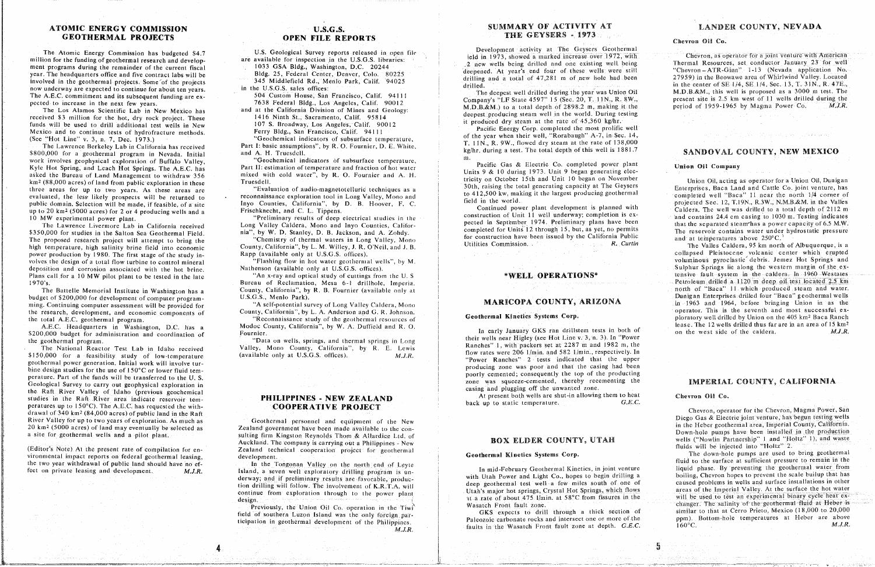# **ATOMIC** ENERGY COMMISSION **U.S.G.S.** SUMMARY OF ACTIVITY AT LANDER COUNTY, NEVADA<br> **GEOTHERMAL PROJECTS OPEN FILE REPORTS** THE GEYSERS - 1973

ment programs during the remainder of the current fiscal<br>ment programs during the remainder of the current fiscal<br>war. The headquarters of the current fiscal<br>war. The headquarters of the surface of the current fiscal<br>war. year. The headquarters office and five contract labs will be Bldg. 25, Federal Center, Denver, Colo. 20225 deepened. At years end rour or these wells were still being and a total of 47.281 m of new hole had been 27959) in drilling and a total of 47,281 m of new hole had been and the Beowawe area of Whirlwind Valley. Located in the geothermal projects. Some of the projects and the projects of the projects and total of 17,281 m of new hole ha now underway are expected to continue for about ten years. In the U.S.G.S. sales offices:<br>The decrest well drilled during the year was Union Oil M.D.B.&M., this well is proposed as a 3000 m test. The The A.E.C. commitment and its subsequent funding are ex-<br>
The A.E.C. commitment and its subsequent funding are ex-<br>
The Company's "Le State 4597" 15 (Sec. 20, T. 11N., R. 8W.,<br>
Company's "Le State 4597" 15 (Sec. 20, T. 11N

received \$3 million for the hot, dry rock project. These 1416 Ninth St., Sacramento, Calif. 95814 deepest producing steam well in the world. During te received to drill additional test wells in New 107 S. Broadway, Los Angeles, Calif. 90012 and produced ary steam at the rate of 1999 Ninth St. Calif. 20012 Mexico and to continue tests of hydrofracture methods. **Funds Intervaller in New 107 Steam at the rate of 46.360 kg** 

\$800,000 for a geothermal program in Nevada. Initial and A. H. Truesdell. **Example 1800.000** for a geothermal program in Nevada, Initial and A. H. Truesdcll. <br>
Work involves geophysical exploration of Buffalo Valley, "Geochemical indicators of subsurface temperature, "Recific Gas & Electric Co. When Hot Spring, and Leach Hot Springs. The A.E.C. has Part II: estimation of temperature and fraction of hot water<br>
esting the Spring of the Burghest Martin Colleges and the Spring 1973. Units 9 & 10 during 1973. Unit 9 b asked the Bureau of Land Management to withdraw 356 mixed with cold water", by R. O. Fournier and A. H. Units 9 & 10 during 1973. Unit 9 began generating electricity on October 15th and Unit 10 began on November Union Oil, as the Bureau of Land Management to with the Bureau of Land Management of Land Management of During the Bureau of During the Bureau of During 1973. The Seyers of During 1973. Units 9 and 1973. Unit 9 and 1973. Units 9 and km 2 (88,000 acres) of the text of the public completion in these Truesdell. The Devillence of the Devillence of the Devillence of the Unit 10 began on the Unit 10 began on the Unit 10 began of the Unit 10 began of the Uni evaluated, the less likely prospects will be returned to reconnaissance exploration tool in Long Valley, Mono and<br>
field in the world. The field in the world. The field in the world. The field in the world. public domain. Selection will be made, if feasible, of a site layo Counties, California", by D. B. Hoover, F. C. field in the world. projected Sec. 12, T.19N., R.3W., N.M.B.&M, in the Valles<br>Continued power plant developme public domainst domain will be made to a total depth of 2112 m<br>In the material begins of a site of a site of the material of the contraction of Unit 11 well underway; completion is ex-<br>In the material contains 24.4 cm casi

\$350,000 for studies in the Salton Sea Geothermal Field. hia", by W. D. Stanley, D. B. Jackson, and A. Zohdy. **\$**350**.**000 for studies in the Sa**l**ton Sea Geo**t**herma**l** Field**.** nia"**,** by W. D. Stanley, D. **B**. Jackson. and *A*. Zohdy. completed for Units 12 **t**hrough*.* 15. but. as yet**,** no permits The reservotr contains water under hydrostatic pressure The proposed research project will attempt to bring the "Chemistry of thermal waters in Long Valley, Menu Formal waters in Long Valley, Menu Formulation have been issued by the California Public and at temperatures above 2 power production by 1980. The first stage of the study in-<br>
Rapp (available only at U.S.G.S. offices).<br>
Rapp (available only at U.S.G.S. offices). power production by 1980. The first stage of the study in-<br>
production by 1980. The first stage of the study in-<br>
production and corrosion associated with the hot brine and corrosion associated with the hot heire and the e deposition and corrosion associated with the hot brine. Nathenson (available only at U.S.G.S. offices). Plans call for a 10 MW pilot plant to be tested in the late Max-ray and optical study of cuttings from the U.S. WELL OPERATIONS\* tensive fault system in the caldera. In 1960 Westates Plant of a 1120 m deep oil test located 2.5 km

The Battelle Memorial Institute in Washington has a<br>
U.S.G.S., Memorial Institute Memorial Institute of Apple only at north of *COUNTY, ARIZONA* **Dunigan** Enterprises: drilled four "Baca" geothermal wells<br>
ming Continuing ming. Continuing computer assessment will be provided for "A self-potential survey of Long Valley Caldera, Mono the research, development, and economic components of County, California", by L. A. Anderson and G. R. Johnson.<br>The the search, development, and economic components of County, California", by L. A. Anderson and G. R. Johns

A.E. A.E. The United States in Muslim and the U.C. has a Modern Lease. The 12 wells developed and R.O. lease in the 12 wells developed and R.O. lease. The 12 wells developed and R.O. lease. The 12 wells developed and R.O.

*The National Reactor* Test Lab in Idaho received Vallephy, Mono County, California", by R. E. Lewis Row rates were 206 1/min. and 582 1/min., respectively. In the 1990,000 for a feasibility study of low-temperature (avail geothermal power generation. Initial work will involve turgeomethial power generation. Initiat work will involve tur-<br>bine design studies for the use of 150°C or lower fluid tem-<br>example the use of 150°C or lower fluid tembeing design studies for the use of 150°C of lower fluid tem-<br>perature. Part of the funds will be transferred to the U.S.<br>example of the use of the funds will be transferred to the U.S. perature. Part of the funds will be transferred to the U.S. poorly considered: the funds will be transferred to the U.S. poorly considered: the part of the production in the part of the part of the production in the part o Georgian Cologie Carry of Idaho (previous geochemical puritippines and provided and provided and provided zone carry of Idaho (previous geochemical puritippines, NEW TRAT AND At present both wells are shut-in allowing them tudies in the Raft River area indicate reservoir tem-<br> **PHILIPPINES - NEW ZEALAND** back up to static temperature. peratures up to 150°C). The A.E.C. has requested the with-<br> **COOPERATIVE PROJECT** back up to static temperature. C. drawal of 340 km<sup>2</sup> (84,000 acres) of public land in the Raft River Valley for up to two years of exploration. As much as **September 840 accepts of the New** Diego Gas & Electric joint venture, has begun testing wells a series with the Review of the New Letter County California 20 km<sup>2</sup> (5000 acres) of land may eventually be selected as **Exploration Zealand government have been made available to the con-**<br>a site for geothermal wells and a pilot plant, sulting firm Kingston Revnolds Thom & Allar

The the two year withdrawal of public land should have no ef-<br>
The the Tongonan Valley on the north end of Leyte and The Tongonan Valley on the north end of Leyte and The Tongonan Valley in mid-February Geothermal Kinetics

# **G**EOTHERMAL **PR**OJECTS O**P**EN **FI**LE **R**EPO**R**TS THE G**EYSE**RS ° 19**73** Che**v**r**o**<sup>n</sup> **<sup>O</sup>**i**<sup>l</sup> <sup>C</sup>**o,

U.S. Geological Survey reports released in open file

The Lawrence Livermore Lab in California received Long Valley Caldera, Mono and Inyo Counties, Califor-<br>Construction of the completed for Units 12 through 15, but, as yet, no permits is to 1030m. Testing in the con

The Battelle Memorial Institute in Washington has a County, California", by R. B. Fournier (available only at a metal and the exame of the exame of the exame of the exame of the exame of test located a 11 which produced st

A.E.C. Headquarters in Washington, D.C. has a Modoc County, California", by W.A. Duffield and R.O. In early January GKS ran drillstem tests in both of lease. The 12 wells drilled thus far are in an area of 15 km<sup>2</sup> lease.

The National Reactor Test Lab in Idaho received Valley, Mono County, California", by R. E. Lewis

20 km 2 ting firm Kingston Reynolds Thom & Allardice Ltd. of<br>
20 km 2 to the company is carrying out a Philippines: Nav.<br>
20 km 2 to the con- Down-hole pumps have been instance in the production Auckland. The company is carrying out a Philippines - New Auckland. The company is carrying out a Philippines - New **BOX EXALC COUPLES 2014 EXALC COUPLES 5** The company of the company is carrying out a Philippines - New *BOX* **EXALC COULT COUPLES (SYSTEMS** COUPLES 5 The downl (Editor's Note) At the present rate of compilation for en-<br>
vironmental impact reports on federal geothermal leasing, development.<br> **Example 1999** Ceothermal Kinetics Systems Corp.

fect on private leasing and development. M.J.R. Island, a seven well exploratory drilling program is underway; and if preliminary results are favorable, produc-<br>derway; and if preliminary results are favorable, produc-<br>deen geothermal test well a few miles south of one of caused problems in wells and surface installations i tion drilling will follow. The involvement of K.R.T.A, will deep geothermal test well a few miles south of one of caused problems in wells and surface installations in other<br>Continues from evolution the under the late of K tion drilling will follow. The involvement of K.R.T.A. will see the interval test will be used to test an experimental binary cycle heat ex-<br>continue from exploration through to the power plant the surface of about 475 l/m

> Previously, the Union Oil Co. operation m the Tiwi<br>
> Field of southern Luzon Island was the only foreign part-<br>
> Paleozoic carbonate rocks and intersect one or more of the ppm). Bottom-hole temperatures at Heber are above<br>
> P ficipation in geothermal development of the Philippines.<br>
> faults in the Wasarch Front fault zone at depth. G.E.C. 160°C.<br>
> M.J.R. *M*.*£R*. faults in the Wasatch **P**rom fault zone at depth. *G*.*E*.*C*. 160°C. *M*.*J*.*R*.

## SUMMARY OF ACTIVITY AT

The Atomic Energy Commission has budgeted \$4.7<br>million for the funding of geothermal research and develop-<br>mant research and develop-<br>mant research and develop-<br>are available for inspection in the U.S.G.S. libraries:<br>2 new

pected to increase in the next few years. The Marine Blue Marine Mine and at the California Division of Mines and Golden: 90012<br>The Los Alamos Scientific Lob in Navis has a Marine and at the California Division of Mines an The Los Alamos Scientific Lab in New Mexico has and at the California Division of Mines and Geology: M.D.B.&M.) to a total depth of 2020.2 in, making its the California Division of Mines and Geology:<br>and at the California

of the year when their well, "Rorabaugh" A-7, in Sec.  $14$ , See "Hot Line" v. 3, n. 7, Dec. 1973.)<br>
The Lawrence Berkeley Lab in California has received<br>
T. 11N., R. 9W., flowed dry steam at the rate of 138,000<br>
T. 11N., R. 9W., flowed dry steam at the rate of 138,000<br>
See the Lawr

the geothermal program.<br>
The second of Indian end the Coordination of The Mone County Galifornia, and thermal springs in Long<br>
The Motional Pacetas Taught Man drillstem tests in the Walley Mone County Galifornia, with the

continue from exploration through to the power plant<br>of the Utahara of about 475 l/min, at 58<sup>o</sup>C from fissures in the<br>Wasatch Front fault zone.

ticipation in geothermal development of the Philippines. Paleonic or more of the ppm intersect of the ppm intersect one of the ppm intersect one or more or more or more or more of the ppm intersect of the ppm intersect of

5

Chevron, operator for the Chevron, Magma Power, San in the Heber geothermal area, Imperial County, California.

**4**

liquid phase. By preventing the geothermal water from design, and the Union Oil Co. operation in the Tiwith Contrast of a result from fault zone.<br>Previously, the Union Oil Co. operation in the Tiwith the Wasacton City of the section of the section of similar to that at Cerro

Chevron, as operator for a joint venture with American

# Union Oil Company

[1] Archives Archives - Alfred Hard

up to 2000 acres, for 2 or 4 producing wells and a Friedminary extits of peer electrical studies in the construction of Unit 11 well underway; completion is ex-<br>The I awrenced I were plant of the inclusion of Caldera. The

the total A.E.C. geother and research development, and research development, and exception of the geother components of the geother and resources of **and the sextime of the seconomissance** study of the geother and resource

## IMPERIAL COUNTY, CALIFORNIA